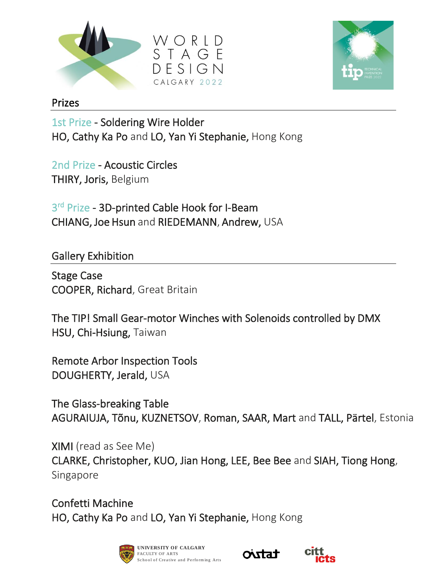



## Prizes

1st Prize - Soldering Wire Holder HO, Cathy Ka Po and LO, Yan Yi Stephanie, Hong Kong

2nd Prize - Acoustic Circles THIRY, Joris, Belgium

3<sup>rd</sup> Prize - 3D-printed Cable Hook for I-Beam CHIANG, Joe Hsun and RIEDEMANN, Andrew, USA

Gallery Exhibition

Stage Case COOPER, Richard, Great Britain

The TIP! Small Gear-motor Winches with Solenoids controlled by DMX HSU, Chi-Hsiung, Taiwan

Remote Arbor Inspection Tools DOUGHERTY, Jerald, USA

The Glass-breaking Table AGURAIUJA, Tõnu, KUZNETSOV, Roman, SAAR, Mart and TALL, Pärtel, Estonia

XIMI (read as See Me) CLARKE, Christopher, KUO, Jian Hong, LEE, Bee Bee and SIAH, Tiong Hong, Singapore

Confetti Machine HO, Cathy Ka Po and LO, Yan Yi Stephanie, Hong Kong